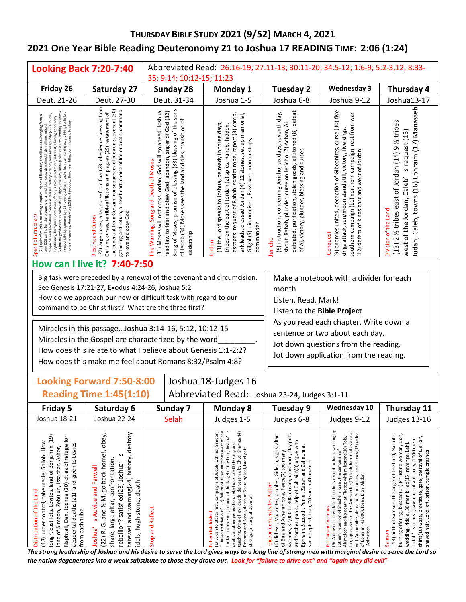# **THURSDAY BIBLE STUDY 2021 (9/52) MARCH 4, 2021 2021 One Year Bible Reading Deuteronomy 21 to Joshua 17 READING TIME: 2:06 (1:24)**

| <b>Looking Back 7:20-7:40</b>                                                                                                                                                                                                                                                                                                                                                                                                                                                                                                                                                    |                                                                                                                                                                                                                                                                                                                                                   | Abbreviated Read: 26:16-19; 27:11-13; 30:11-20; 34:5-12; 1:6-9; 5:2-3,12; 8:33-                                                                                                                                                                                                                                                                                                                                                                  |                                                                                                                                                                                                                                                                                                                                                                                                                                                        |                                                                                                                                                                                                                                                                                                                                                 |                                                                                                                                                                                                                                                                                                                                                                                                     |                                                                                                                                                                                                                                                                                                                                              |  |  |
|----------------------------------------------------------------------------------------------------------------------------------------------------------------------------------------------------------------------------------------------------------------------------------------------------------------------------------------------------------------------------------------------------------------------------------------------------------------------------------------------------------------------------------------------------------------------------------|---------------------------------------------------------------------------------------------------------------------------------------------------------------------------------------------------------------------------------------------------------------------------------------------------------------------------------------------------|--------------------------------------------------------------------------------------------------------------------------------------------------------------------------------------------------------------------------------------------------------------------------------------------------------------------------------------------------------------------------------------------------------------------------------------------------|--------------------------------------------------------------------------------------------------------------------------------------------------------------------------------------------------------------------------------------------------------------------------------------------------------------------------------------------------------------------------------------------------------------------------------------------------------|-------------------------------------------------------------------------------------------------------------------------------------------------------------------------------------------------------------------------------------------------------------------------------------------------------------------------------------------------|-----------------------------------------------------------------------------------------------------------------------------------------------------------------------------------------------------------------------------------------------------------------------------------------------------------------------------------------------------------------------------------------------------|----------------------------------------------------------------------------------------------------------------------------------------------------------------------------------------------------------------------------------------------------------------------------------------------------------------------------------------------|--|--|
|                                                                                                                                                                                                                                                                                                                                                                                                                                                                                                                                                                                  |                                                                                                                                                                                                                                                                                                                                                   | 35; 9:14; 10:12-15; 11:23                                                                                                                                                                                                                                                                                                                                                                                                                        |                                                                                                                                                                                                                                                                                                                                                                                                                                                        |                                                                                                                                                                                                                                                                                                                                                 |                                                                                                                                                                                                                                                                                                                                                                                                     |                                                                                                                                                                                                                                                                                                                                              |  |  |
| Friday 26                                                                                                                                                                                                                                                                                                                                                                                                                                                                                                                                                                        | Saturday 27                                                                                                                                                                                                                                                                                                                                       | Sunday 28                                                                                                                                                                                                                                                                                                                                                                                                                                        | Monday 1                                                                                                                                                                                                                                                                                                                                                                                                                                               | <b>Tuesday 2</b>                                                                                                                                                                                                                                                                                                                                | <b>Wednesday 3</b>                                                                                                                                                                                                                                                                                                                                                                                  | Thursday 4                                                                                                                                                                                                                                                                                                                                   |  |  |
| Deut. 21-26                                                                                                                                                                                                                                                                                                                                                                                                                                                                                                                                                                      | Deut. 27-30                                                                                                                                                                                                                                                                                                                                       | Deut. 31-34                                                                                                                                                                                                                                                                                                                                                                                                                                      | Joshua 1-5                                                                                                                                                                                                                                                                                                                                                                                                                                             | Joshua 6-8                                                                                                                                                                                                                                                                                                                                      | Joshua 9-12                                                                                                                                                                                                                                                                                                                                                                                         | Joshua13-17                                                                                                                                                                                                                                                                                                                                  |  |  |
| muzzles, kidnap, skin diseases, lending, helpless<br>purity (23) eunuchs,<br>testicles<br>ious son, hanging from a<br>interest, abusing generosity<br>honest measures, Amalekites (26) first product, third year tithe, commitment to obey<br>grabbing<br>marriages,<br>levirate<br>tutes,<br>illegitimacy, foreigners, emissions, feces, slaves, prosti<br>muzzle,<br>irresponsibility, generosity (25) court justice,<br>(24) marriage/divorce, newlyweds, pledges,<br>(21) quilt of murder, marrying<br>prope<br>crops/harnesses/clothing<br>Instructions<br>tree (22) caring | 27) large stones, altar, curse from Ebal (28) obedience, blessing from<br>the covenant from Gerizim, consequences of breaking covenant (30)<br>gathering and return, a new heart, choice of life or death, command<br>Gerizim, curses, terrible afflictions and plagues (29) restatement of<br>to love and obey God<br><b>Blessing and Curses</b> | Song of Moses, promise of blessing (33) blessing of the sons<br>(31) Moses will not cross Jordan, God will go ahead, Joshua,<br>read law to fear and obey God, abandon, anger of God (32)<br>of Jacob (34) Moses sees the land and dies, transition of<br>The Warning, Song and Death of Moses<br>eadership                                                                                                                                      | escapes, request of Rahab, scarlet rope, report (3) camp.<br>ark leads, crossed Jordan (4) 12 stones, set up memorial,<br>(1) the Lord speaks to Joshua, be ready in three days,<br>tribes on the east of Jordan (2) spies, Rahab, hidden,<br>Gilgal (5) circumcised, Passover, manna stops,<br>commander<br>ordan                                                                                                                                     | defeated, purification, stolen goods, all stoned (8) defeat<br>(6) instructions concerning Jericho, six days, seventh day,<br>shout, Rahab, plunder, curse on Jericho (7) Achan, Ai,<br>of Ai, victory, plunder, blessing and curses<br>ericho                                                                                                  | (9) enemies united, deception of Gibeonites, curse (10) five<br>southern campaign (11) northern campaign, rest from war<br>kings attack, sun/moon stand still, victory, five kings,<br>(12) defeat of kings east and west of Jordan<br>Conquest                                                                                                                                                     | ludah, Caleb, towns (16) Ephraim (17) Manasseh<br>$(13)$ 2 $\frac{1}{2}$ tribes east of Jordan $(14)$ 9 $\frac{1}{2}$ tribes<br>s request (15)<br>west of the Jordan, Caleb'<br>Division of the Land                                                                                                                                         |  |  |
|                                                                                                                                                                                                                                                                                                                                                                                                                                                                                                                                                                                  | How can I live it? 7:40-7:50                                                                                                                                                                                                                                                                                                                      |                                                                                                                                                                                                                                                                                                                                                                                                                                                  |                                                                                                                                                                                                                                                                                                                                                                                                                                                        |                                                                                                                                                                                                                                                                                                                                                 |                                                                                                                                                                                                                                                                                                                                                                                                     |                                                                                                                                                                                                                                                                                                                                              |  |  |
|                                                                                                                                                                                                                                                                                                                                                                                                                                                                                                                                                                                  | See Genesis 17:21-27, Exodus 4:24-26, Joshua 5:2                                                                                                                                                                                                                                                                                                  | Big task were preceded by a renewal of the covenant and circumcision.<br>How do we approach our new or difficult task with regard to our<br>command to be Christ first? What are the three first?<br>Miracles in this passage Joshua 3:14-16, 5:12, 10:12-15<br>Miracles in the Gospel are characterized by the word<br>How does this relate to what I believe about Genesis 1:1-2:2?<br>How does this make me feel about Romans 8:32/Psalm 4:8? | Make a notebook with a divider for each<br>month<br>Listen, Read, Mark!<br>Listen to the <b>Bible Project</b><br>As you read each chapter. Write down a<br>sentence or two about each day.<br>Jot down questions from the reading.<br>Jot down application from the reading.                                                                                                                                                                           |                                                                                                                                                                                                                                                                                                                                                 |                                                                                                                                                                                                                                                                                                                                                                                                     |                                                                                                                                                                                                                                                                                                                                              |  |  |
|                                                                                                                                                                                                                                                                                                                                                                                                                                                                                                                                                                                  | <b>Looking Forward 7:50-8:00</b><br>Joshua 18-Judges 16                                                                                                                                                                                                                                                                                           |                                                                                                                                                                                                                                                                                                                                                                                                                                                  |                                                                                                                                                                                                                                                                                                                                                                                                                                                        |                                                                                                                                                                                                                                                                                                                                                 |                                                                                                                                                                                                                                                                                                                                                                                                     |                                                                                                                                                                                                                                                                                                                                              |  |  |
|                                                                                                                                                                                                                                                                                                                                                                                                                                                                                                                                                                                  | <b>Reading Time 1:45(1:10)</b><br>Abbreviated Read: Joshua 23-24, Judges 3:1-11                                                                                                                                                                                                                                                                   |                                                                                                                                                                                                                                                                                                                                                                                                                                                  |                                                                                                                                                                                                                                                                                                                                                                                                                                                        |                                                                                                                                                                                                                                                                                                                                                 |                                                                                                                                                                                                                                                                                                                                                                                                     |                                                                                                                                                                                                                                                                                                                                              |  |  |
| Friday 5                                                                                                                                                                                                                                                                                                                                                                                                                                                                                                                                                                         | Saturday 6                                                                                                                                                                                                                                                                                                                                        | Sunday 7                                                                                                                                                                                                                                                                                                                                                                                                                                         | <b>Monday 8</b>                                                                                                                                                                                                                                                                                                                                                                                                                                        | <b>Wednesday 10</b><br>Tuesday 9<br>Thursday 11                                                                                                                                                                                                                                                                                                 |                                                                                                                                                                                                                                                                                                                                                                                                     |                                                                                                                                                                                                                                                                                                                                              |  |  |
| Joshua 18-21                                                                                                                                                                                                                                                                                                                                                                                                                                                                                                                                                                     | Joshua 22-24                                                                                                                                                                                                                                                                                                                                      | Selah                                                                                                                                                                                                                                                                                                                                                                                                                                            | Judges 1-5                                                                                                                                                                                                                                                                                                                                                                                                                                             | Judges 6-8                                                                                                                                                                                                                                                                                                                                      | Judges 9-12                                                                                                                                                                                                                                                                                                                                                                                         | <b>Judges 13-16</b>                                                                                                                                                                                                                                                                                                                          |  |  |
| long?, cast lots, Levites, land of Benjamin (19)<br>Naphtali, Dan, Joshua (20) cities of refuge for<br>(18) under control, tabernacle, Shiloh, How<br>accidental deaths (21) land given to Levies<br>land of Simeon, Zebulun, Issachar, Asher,<br>Distribution of the Land<br>from each tribe                                                                                                                                                                                                                                                                                    | farewell and warning(24) history, destroy<br>(22) R. G. and 1/2 M. go back home!, obey,<br>S<br>share, large altar, confrontation,<br>rebellion? satisfied(23) Joshua'<br>s Advice and Farwell<br>dols, hugh stone, death<br>loshua'                                                                                                              | Stop and Reflect                                                                                                                                                                                                                                                                                                                                                                                                                                 | failed to drive out" (2) failure of all seven tribes west of the<br>teaching, Othniel, evil deeds, deliverance by Ehud, Shamgar(4)<br>campaigns of Judah, Othniel, Simeon,<br>Jordan to drive out, rebuke of the Angel of the Lord, Joshua'<br>death, another generation, rebellious cyle(3) testing and<br>Deborah and Barak, death of Sisera by Jael, Israel gets<br>stronger(5) song of Deborah<br>(1) Judah to attack first,<br>attern Established | warriors, 32,000 to 300, dream, rams horn, clay pots<br>(6) did evil, Midianites, prophet, Gideon, signs, altar<br>and torches, panic, help of Ephraim(8) argue with<br>Ephraim, Succoth, Peniel, Zebah and Zalmunna,<br>of Baal and Asherah pole, fleece(7) too many<br>sacred ephod, trap, 70 sons + Abimelech<br>Gideon demonstrates Pattern | (9) Abimelech rules, killed brothers except Jotham, warning by<br>Jair, oppression of the Ammonites(11) Jephthah, makes a case<br>with Ammonites, defeat of Ammonites, foolish vow(12) defea<br>Abimelech and his death at Thebez with milestone(10) Tola,<br>Jotham, rebellion of Shechem, Gaal, the campaign of<br>of Ephraim (42,000), Ibzan, Elon, Abdon<br>Abimelech<br>Evil Pattern Continues | (13) birth of Samson, the angel of the Lord, Nazirite,<br>burning offering, blessed(14) Philistine woman, Lion,<br>thirst(16) Gaza, prostitute, gate, betrayal of Delilah<br>Judah's appeal, jawbone of a donkey, 1000 men,<br>wedding, riddle, 30 men killed(15) revenge, Lehi,<br>shaved hair, Lord left, prison, temple crashes<br>Samson |  |  |

*The strong leadership of Joshua and his desire to serve the Lord gives ways to a long line of strong men with marginal desire to serve the Lord so the nation degenerates into a weak substitute to those they drove out. Look for "failure to drive out" and "again they did evil"*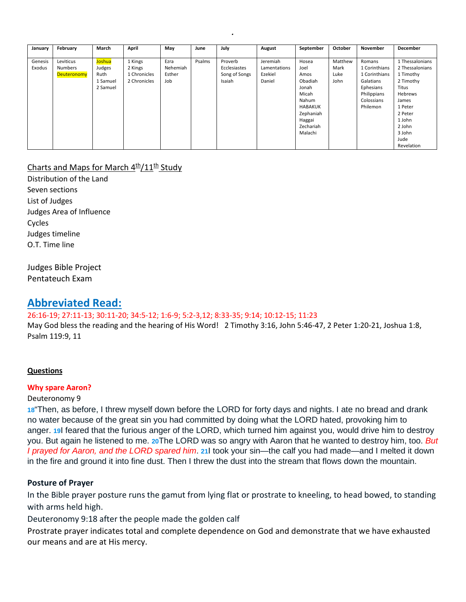| January | February       | March         | April        | May      | June   | July          | August       | September      | October | November      | December        |
|---------|----------------|---------------|--------------|----------|--------|---------------|--------------|----------------|---------|---------------|-----------------|
|         |                |               |              |          |        |               |              |                |         |               |                 |
| Genesis | Leviticus      | <b>Joshua</b> | 1 Kings      | Ezra     | Psalms | Proverb       | Jeremiah     | Hosea          | Matthew | Romans        | 1 Thessalonians |
| Exodus  | <b>Numbers</b> | Judges        | 2 Kings      | Nehemiah |        | Ecclesiastes  | Lamentations | Joel           | Mark    | 1 Corinthians | 2 Thessalonians |
|         | Deuteronomy    | Ruth          | 1 Chronicles | Esther   |        | Song of Songs | Ezekiel      | Amos           | Luke    | 1 Corinthians | 1 Timothy       |
|         |                | 1 Samuel      | 2 Chronicles | Job      |        | Isaiah        | Daniel       | Obadiah        | John    | Galatians     | 2 Timothy       |
|         |                | 2 Samuel      |              |          |        |               |              | Jonah          |         | Ephesians     | Titus           |
|         |                |               |              |          |        |               |              | Micah          |         | Philippians   | Hebrews         |
|         |                |               |              |          |        |               |              | Nahum          |         | Colossians    | James           |
|         |                |               |              |          |        |               |              | <b>HABAKUK</b> |         | Philemon      | 1 Peter         |
|         |                |               |              |          |        |               |              | Zephaniah      |         |               | 2 Peter         |
|         |                |               |              |          |        |               |              | Haggai         |         |               | 1 John          |
|         |                |               |              |          |        |               |              | Zechariah      |         |               | 2 John          |
|         |                |               |              |          |        |               |              | Malachi        |         |               | 3 John          |
|         |                |               |              |          |        |               |              |                |         |               | Jude            |
|         |                |               |              |          |        |               |              |                |         |               | Revelation      |

*.* 

# Charts and Maps for March  $4th/11th$  Study

Distribution of the Land Seven sections List of Judges Judges Area of Influence Cycles Judges timeline O.T. Time line

# Judges Bible Project Pentateuch Exam

# **Abbreviated Read:** 26:16-19; 27:11-13; 30:11-20; 34:5-12; 1:6-9; 5:2-3,12; 8:33-35; 9:14; 10:12-15; 11:23

May God bless the reading and the hearing of His Word! 2 Timothy 3:16, John 5:46-47, 2 Peter 1:20-21, Joshua 1:8, Psalm 119:9, 11

# **Questions**

# **Why spare Aaron?**

# Deuteronomy 9

**[18](http://biblehub.com/deuteronomy/9-18.htm)**"Then, as before, I threw myself down before the LORD for forty days and nights. I ate no bread and drank no water because of the great sin you had committed by doing what the LORD hated, provoking him to anger. **[19](http://biblehub.com/deuteronomy/9-19.htm)**I feared that the furious anger of the LORD, which turned him against you, would drive him to destroy you. But again he listened to me. **[20](http://biblehub.com/deuteronomy/9-20.htm)**The LORD was so angry with Aaron that he wanted to destroy him, too. *But I prayed for Aaron, and the LORD spared him*. **[21](http://biblehub.com/deuteronomy/9-21.htm)**I took your sin—the calf you had made—and I melted it down in the fire and ground it into fine dust. Then I threw the dust into the stream that flows down the mountain.

# **Posture of Prayer**

In the Bible prayer posture runs the gamut from lying flat or prostrate to kneeling, to head bowed, to standing with arms held high.

Deuteronomy 9:18 after the people made the golden calf

Prostrate prayer indicates total and complete dependence on God and demonstrate that we have exhausted our means and are at His mercy.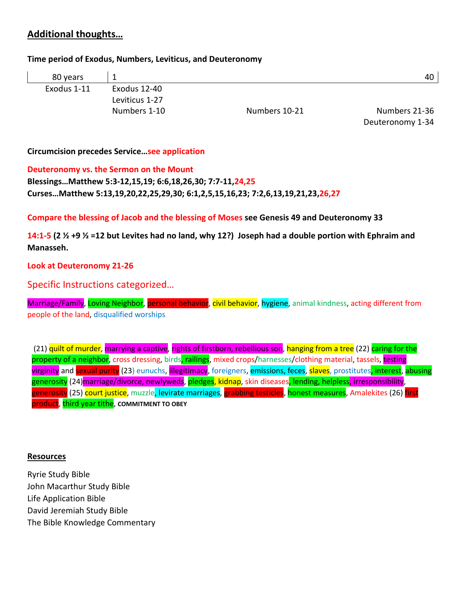# **Additional thoughts…**

# **Time period of Exodus, Numbers, Leviticus, and Deuteronomy**

| 80 years    |                |               | 40            |
|-------------|----------------|---------------|---------------|
| Exodus 1-11 | Exodus 12-40   |               |               |
|             | Leviticus 1-27 |               |               |
|             | Numbers 1-10   | Numbers 10-21 | Numbers 21-36 |

Deuteronomy 1-34

# **Circumcision precedes Service…see application**

# **Deuteronomy vs. the Sermon on the Mount**

**Blessings…Matthew 5:3-12,15,19; 6:6,18,26,30; 7:7-11,24,25 Curses…Matthew 5:13,19,20,22,25,29,30; 6:1,2,5,15,16,23; 7:2,6,13,19,21,23,26,27**

**Compare the blessing of Jacob and the blessing of Moses see Genesis 49 and Deuteronomy 33**

**14:1-5 (2 ½ +9 ½ =12 but Levites had no land, why 12?) Joseph had a double portion with Ephraim and Manasseh.** 

# **Look at Deuteronomy 21-26**

Specific Instructions categorized…

Marriage/Family, Loving Neighbor, personal behavior, civil behavior, hygiene, animal kindness, acting different from people of the land, disqualified worships

(21) quilt of murder, marrying a captive, rights of firstborn, rebellious son, hanging from a tree (22) caring for the property of a neighbor, cross dressing, birds, railings, mixed crops/harnesses/clothing material, tassels, testing virginity and sexual purity (23) eunuchs, illegitimacy, foreigners, emissions, feces, slaves, prostitutes, interest, abusing generosity (24)marriage/divorce, newlyweds, pledges, kidnap, skin diseases<mark>, lending, helpless</mark>, irresponsibility, generosity (25) court justice, muzzle, levirate marriages, grabbing testicles, honest measures, Amalekites (26) first product, third year tithe, **COMMITMENT TO OBEY**

# **Resources**

Ryrie Study Bible John Macarthur Study Bible Life Application Bible David Jeremiah Study Bible The Bible Knowledge Commentary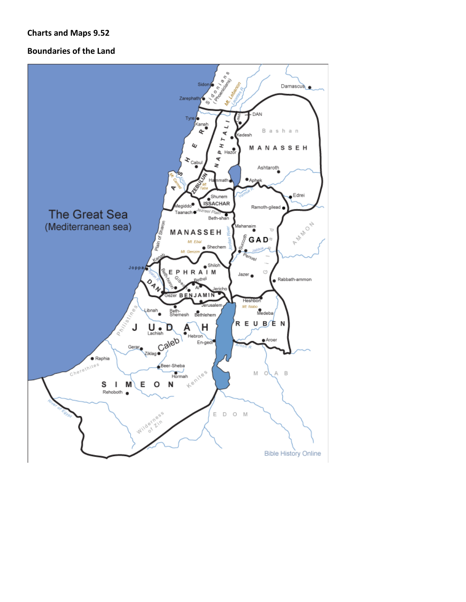# **Charts and Maps 9.52**

# **Boundaries of the Land**

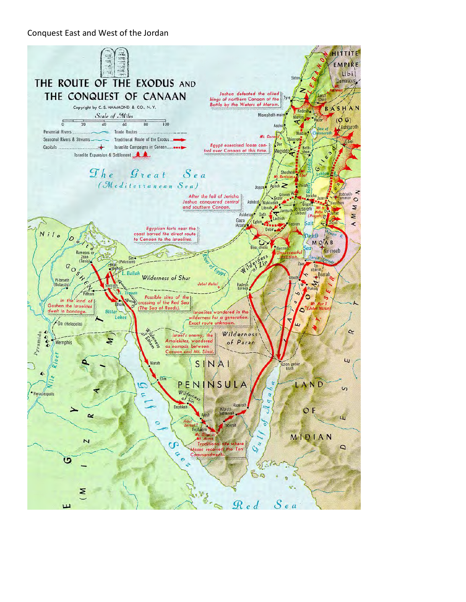# Conquest East and West of the Jordan